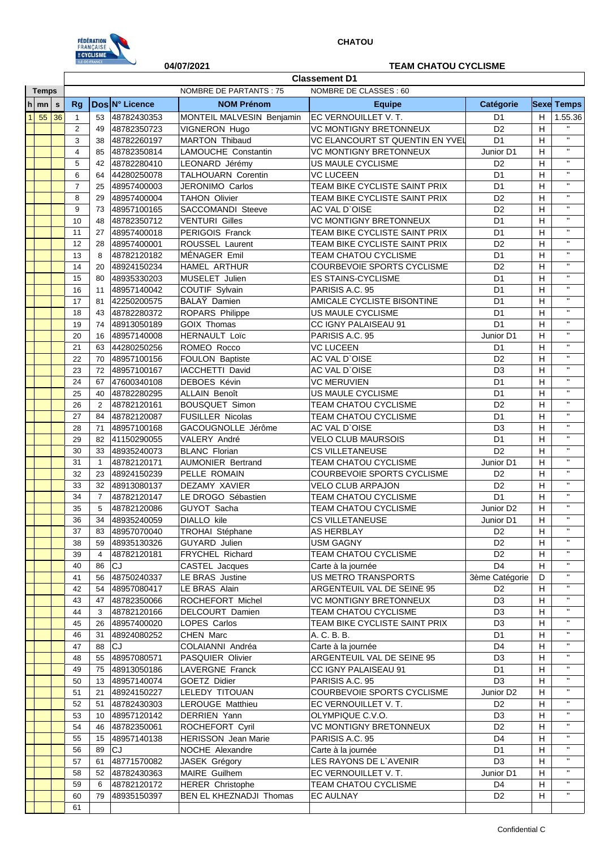

## **04/07/2021 TEAM CHATOU CYCLISME**

|              |                  |             | <b>Classement D1</b>                                    |                |                |                            |                                 |                       |                |                             |  |  |
|--------------|------------------|-------------|---------------------------------------------------------|----------------|----------------|----------------------------|---------------------------------|-----------------------|----------------|-----------------------------|--|--|
| <b>Temps</b> |                  |             | <b>NOMBRE DE PARTANTS: 75</b><br>NOMBRE DE CLASSES : 60 |                |                |                            |                                 |                       |                |                             |  |  |
|              | $h \mid mn \mid$ | $\mathbf s$ | Rg                                                      |                | Dos N° Licence | <b>NOM Prénom</b>          | <b>Equipe</b>                   | Catégorie             |                | <b>Sexe Temps</b>           |  |  |
| $\mathbf{1}$ | 55               | 36          | $\mathbf{1}$                                            | 53             | 48782430353    | MONTEIL MALVESIN Benjamin  | <b>EC VERNOUILLET V.T.</b>      | D <sub>1</sub>        | H              | 1.55.36                     |  |  |
|              |                  |             | 2                                                       | 49             | 48782350723    | VIGNERON Hugo              | <b>VC MONTIGNY BRETONNEUX</b>   | $\overline{D2}$       | $\overline{H}$ | $\mathbf{H}$                |  |  |
|              |                  |             | 3                                                       | 38             | 48782260197    | <b>MARTON Thibaud</b>      | VC ELANCOURT ST QUENTIN EN YVEL | D <sub>1</sub>        | H              | $\mathbf{H}$                |  |  |
|              |                  |             | 4                                                       | 85             | 48782350814    | <b>LAMOUCHE Constantin</b> | VC MONTIGNY BRETONNEUX          | Junior D1             | H              | $\bar{\mathbf{H}}$          |  |  |
|              |                  |             | 5                                                       | 42             | 48782280410    | LEONARD Jérémy             | US MAULE CYCLISME               | D <sub>2</sub>        | н              | $\mathbf{H}$                |  |  |
|              |                  |             | 6                                                       | 64             | 44280250078    | <b>TALHOUARN Corentin</b>  | <b>VC LUCEEN</b>                | D <sub>1</sub>        | H              | $\mathbf{H}$                |  |  |
|              |                  |             | $\overline{7}$                                          | 25             | 48957400003    | JERONIMO Carlos            | TEAM BIKE CYCLISTE SAINT PRIX   | D <sub>1</sub>        | Н              | $\bar{\mathbf{H}}$          |  |  |
|              |                  |             | 8                                                       | 29             | 48957400004    | <b>TAHON Olivier</b>       | TEAM BIKE CYCLISTE SAINT PRIX   | D <sub>2</sub>        | н              | $\mathbf H$                 |  |  |
|              |                  |             | 9                                                       | 73             | 48957100165    | <b>SACCOMANDI Steeve</b>   | AC VAL D`OISE                   | D <sub>2</sub>        | н              | $\mathbf{H}$                |  |  |
|              |                  |             | 10                                                      | 48             | 48782350712    | <b>VENTURI Gilles</b>      | VC MONTIGNY BRETONNEUX          | D <sub>1</sub>        | н              | $\mathbf{H}$                |  |  |
|              |                  |             | 11                                                      | 27             | 48957400018    | PERIGOIS Franck            | TEAM BIKE CYCLISTE SAINT PRIX   | D <sub>1</sub>        | н              | $\mathbf H$                 |  |  |
|              |                  |             | 12                                                      | 28             | 48957400001    | ROUSSEL Laurent            | TEAM BIKE CYCLISTE SAINT PRIX   | D <sub>2</sub>        | Η              | $\mathbf{H}$                |  |  |
|              |                  |             | 13                                                      | 8              | 48782120182    | MÉNAGER Emil               | <b>TEAM CHATOU CYCLISME</b>     | D <sub>1</sub>        | н              | $\mathbf{H}$                |  |  |
|              |                  |             | 14                                                      | 20             | 48924150234    | HAMEL ARTHUR               | COURBEVOIE SPORTS CYCLISME      | D <sub>2</sub>        | н              | $\mathbf H$                 |  |  |
|              |                  |             | 15                                                      | 80             | 48935330203    | MUSELET Julien             | <b>ES STAINS-CYCLISME</b>       | D <sub>1</sub>        | H              | $\mathbf{H}$                |  |  |
|              |                  |             | 16                                                      | 11             | 48957140042    | COUTIF Sylvain             | PARISIS A.C. 95                 | D <sub>1</sub>        | н              | $\mathbf{H}$                |  |  |
|              |                  |             | 17                                                      | 81             | 42250200575    | BALAY Damien               | AMICALE CYCLISTE BISONTINE      | D <sub>1</sub>        | н              | $\mathbf{H}$                |  |  |
|              |                  |             | 18                                                      | 43             | 48782280372    | ROPARS Philippe            | US MAULE CYCLISME               | D <sub>1</sub>        | Η              | $\mathbf{H}$                |  |  |
|              |                  |             | 19                                                      | 74             | 48913050189    | <b>GOIX Thomas</b>         | CC IGNY PALAISEAU 91            | D <sub>1</sub>        | н              | $\mathbf H$                 |  |  |
|              |                  |             | 20                                                      | 16             | 48957140008    | <b>HERNAULT Loïc</b>       | PARISIS A.C. 95                 | Junior D1             | н              | $\mathbf{H}$                |  |  |
|              |                  |             | 21                                                      | 63             | 44280250256    | ROMEO Rocco                | VC LUCEEN                       | D <sub>1</sub>        | H              | $\mathbf{H}$                |  |  |
|              |                  |             | 22                                                      | 70             | 48957100156    | FOULON Baptiste            | AC VAL D'OISE                   | D <sub>2</sub>        | H              | $\mathbf{H}$                |  |  |
|              |                  |             | 23                                                      | 72             | 48957100167    | IACCHETTI David            | AC VAL D'OISE                   | D <sub>3</sub>        | Η              | $\mathbf H$                 |  |  |
|              |                  |             | 24                                                      | 67             | 47600340108    | <b>DEBOES Kévin</b>        | <b>VC MERUVIEN</b>              | D <sub>1</sub>        | н              | $\mathbf{H}$                |  |  |
|              |                  |             | 25                                                      | 40             | 48782280295    | <b>ALLAIN Benoît</b>       | US MAULE CYCLISME               | D <sub>1</sub>        | H              | $\mathbf{H}$                |  |  |
|              |                  |             | 26                                                      | $\overline{2}$ | 48782120161    | <b>BOUSQUET Simon</b>      | <b>TEAM CHATOU CYCLISME</b>     | D <sub>2</sub>        | H              | $\mathbf{H}$                |  |  |
|              |                  |             | 27                                                      | 84             | 48782120087    | <b>FUSILLER Nicolas</b>    | <b>TEAM CHATOU CYCLISME</b>     | D <sub>1</sub>        | н              | $\mathbf{H}$                |  |  |
|              |                  |             | 28                                                      | 71             | 48957100168    | GACOUGNOLLE Jérôme         | <b>AC VAL D'OISE</b>            | D <sub>3</sub>        | н              | $\mathbf{H}$                |  |  |
|              |                  |             | 29                                                      | 82             | 41150290055    | VALERY André               | <b>VELO CLUB MAURSOIS</b>       | D <sub>1</sub>        | н              | $\mathbf H$                 |  |  |
|              |                  |             | 30                                                      | 33             | 48935240073    | <b>BLANC Florian</b>       | <b>CS VILLETANEUSE</b>          | D <sub>2</sub>        | н              | $\mathbf{H}$                |  |  |
|              |                  |             | 31                                                      | $\mathbf{1}$   | 48782120171    | <b>AUMONIER Bertrand</b>   | TEAM CHATOU CYCLISME            | Junior D1             | н              | $\mathbf H$                 |  |  |
|              |                  |             | 32                                                      | 23             | 48924150239    | PELLE ROMAIN               | COURBEVOIE SPORTS CYCLISME      | D <sub>2</sub>        | H              | $\mathbf H$                 |  |  |
|              |                  |             | 33                                                      | 32             | 48913080137    | DEZAMY XAVIER              | <b>VELO CLUB ARPAJON</b>        | D <sub>2</sub>        | н              | $\mathbf H$                 |  |  |
|              |                  |             | 34                                                      | $\overline{7}$ | 48782120147    | LE DROGO Sébastien         | <b>TEAM CHATOU CYCLISME</b>     | D <sub>1</sub>        | н              | $\mathbf{H}$                |  |  |
|              |                  |             | 35                                                      | 5              | 48782120086    | GUYOT Sacha                | <b>TEAM CHATOU CYCLISME</b>     | Junior D2             | н              | $\mathbf{H}$                |  |  |
|              |                  |             | 36                                                      | 34             | 48935240059    | <b>DIALLO</b> kile         | <b>CS VILLETANEUSE</b>          | Junior D1             | н              | $\mathbf{H}$                |  |  |
|              |                  |             | 37                                                      | 83             | 48957070040    | TROHAI Stéphane            | <b>AS HERBLAY</b>               | D <sub>2</sub>        | н              |                             |  |  |
|              |                  |             | 38                                                      | 59             | 48935130326    | GUYARD Julien              | <b>USM GAGNY</b>                | D <sub>2</sub>        | H              | $\mathbf{H}$                |  |  |
|              |                  |             | 39                                                      | 4              | 48782120181    | FRYCHEL Richard            | TEAM CHATOU CYCLISME            | D <sub>2</sub>        | н              | $\mathbf H$                 |  |  |
|              |                  |             | 40                                                      | 86             | CJ             | CASTEL Jacques             | Carte à la journée              | D <sub>4</sub>        | H              | $\mathbf H$                 |  |  |
|              |                  |             | 41                                                      | 56             | 48750240337    | LE BRAS Justine            | US METRO TRANSPORTS             | 3ème Catégorie        | D              | $\mathbf{H}$                |  |  |
|              |                  |             | 42                                                      | 54             | 48957080417    | LE BRAS Alain              | ARGENTEUIL VAL DE SEINE 95      | D <sub>2</sub>        | H              | $\mathbf{H}$                |  |  |
|              |                  |             | 43                                                      | 47             | 48782350066    | ROCHEFORT Michel           | VC MONTIGNY BRETONNEUX          | D <sub>3</sub>        | H              | $\mathbf{H}$<br>$\mathbf H$ |  |  |
|              |                  |             | 44                                                      | 3              | 48782120166    | DELCOURT Damien            | TEAM CHATOU CYCLISME            | D <sub>3</sub>        | н              | $\mathbf{H}$                |  |  |
|              |                  |             | 45                                                      | 26             | 48957400020    | LOPES Carlos               | TEAM BIKE CYCLISTE SAINT PRIX   | D <sub>3</sub>        | H              | $\mathbf{H}$                |  |  |
|              |                  |             | 46                                                      | 31             | 48924080252    | CHEN Marc                  | A. C. B. B.                     | D <sub>1</sub>        | H              | $\mathbf{H}$                |  |  |
|              |                  |             | 47                                                      | 88             | <b>CJ</b>      | COLAIANNI Andréa           | Carte à la journée              | D <sub>4</sub>        | н              | $\mathbf{H}$                |  |  |
|              |                  |             | 48                                                      | 55             | 48957080571    | PASQUIER Olivier           | ARGENTEUIL VAL DE SEINE 95      | D <sub>3</sub>        | н              | $\mathbf{H}$                |  |  |
|              |                  |             | 49                                                      | 75             | 48913050186    | LAVERGNE Franck            | CC IGNY PALAISEAU 91            | D <sub>1</sub>        | н              | $\mathbf{H}$                |  |  |
|              |                  |             | 50                                                      | 13             | 48957140074    | GOETZ Didier               | PARISIS A.C. 95                 | D <sub>3</sub>        | H              | $\mathbf H$                 |  |  |
|              |                  |             | 51                                                      | 21             | 48924150227    | LELEDY TITOUAN             | COURBEVOIE SPORTS CYCLISME      | Junior D <sub>2</sub> | H              | $\mathbf{H}$                |  |  |
|              |                  |             | 52                                                      | 51             | 48782430303    | LEROUGE Matthieu           | EC VERNOUILLET V.T.             | D <sub>2</sub>        | н              | $\mathbf{H}$                |  |  |
|              |                  |             | 53                                                      | 10             | 48957120142    | DERRIEN Yann               | OLYMPIQUE C.V.O.                | D <sub>3</sub>        | Н              | $\mathbf{H}$                |  |  |
|              |                  |             | 54                                                      | 46             | 48782350061    | ROCHEFORT Cyril            | VC MONTIGNY BRETONNEUX          | D <sub>2</sub>        | н              | $\mathbf{H}$                |  |  |
|              |                  |             | 55                                                      | 15             | 48957140138    | <b>HERISSON</b> Jean Marie | PARISIS A.C. 95                 | D <sub>4</sub>        | н              | $\mathbf H$                 |  |  |
|              |                  |             | 56                                                      | 89             | CJ             | NOCHE Alexandre            | Carte à la journée              | D <sub>1</sub>        | н              | $\mathbf{H}$                |  |  |
|              |                  |             | 57                                                      | 61             | 48771570082    | JASEK Grégory              | LES RAYONS DE L'AVENIR          | D <sub>3</sub>        | н              | $\mathbf{H}$                |  |  |
|              |                  |             | 58                                                      | 52             | 48782430363    | MAIRE Guilhem              | EC VERNOUILLET V. T.            | Junior D1             | н              | $\mathbf H$                 |  |  |
|              |                  |             | 59                                                      | 6              | 48782120172    | <b>HERER Christophe</b>    | TEAM CHATOU CYCLISME            | D4                    | н              | $\mathbf H$                 |  |  |
|              |                  |             | 60                                                      | 79             | 48935150397    | BEN EL KHEZNADJI Thomas    | <b>EC AULNAY</b>                | D <sub>2</sub>        | H              |                             |  |  |
|              |                  |             | 61                                                      |                |                |                            |                                 |                       |                |                             |  |  |